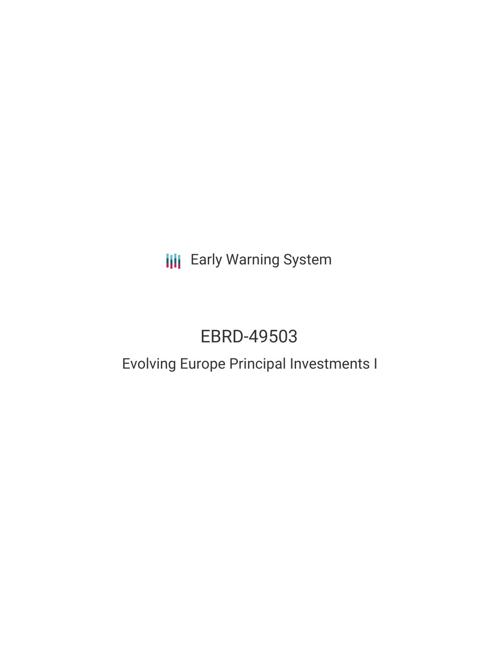**III** Early Warning System

# EBRD-49503

## Evolving Europe Principal Investments I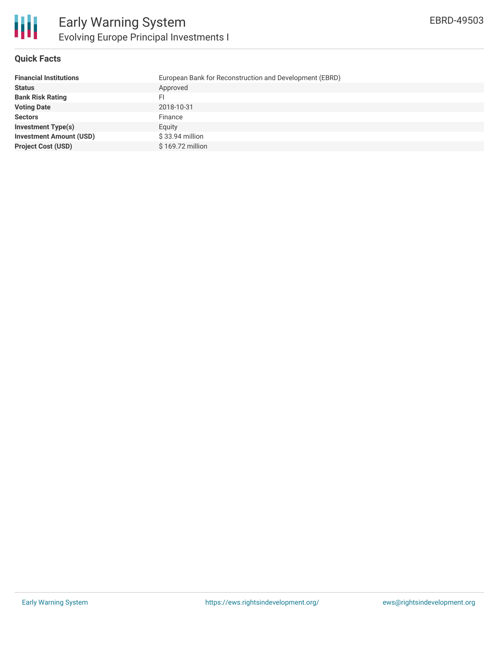

#### **Quick Facts**

| <b>Financial Institutions</b>  | European Bank for Reconstruction and Development (EBRD) |
|--------------------------------|---------------------------------------------------------|
| <b>Status</b>                  | Approved                                                |
| <b>Bank Risk Rating</b>        | FI                                                      |
| <b>Voting Date</b>             | 2018-10-31                                              |
| <b>Sectors</b>                 | Finance                                                 |
| <b>Investment Type(s)</b>      | Eauity                                                  |
| <b>Investment Amount (USD)</b> | $$33.94$ million                                        |
| <b>Project Cost (USD)</b>      | \$169.72 million                                        |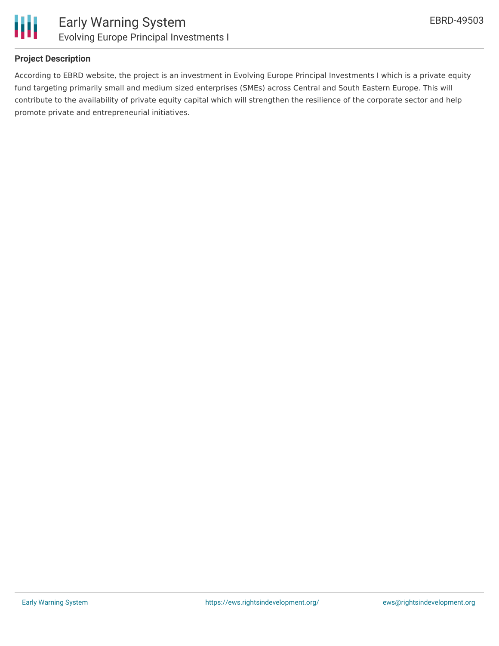

Ш

#### **Project Description**

According to EBRD website, the project is an investment in Evolving Europe Principal Investments I which is a private equity fund targeting primarily small and medium sized enterprises (SMEs) across Central and South Eastern Europe. This will contribute to the availability of private equity capital which will strengthen the resilience of the corporate sector and help promote private and entrepreneurial initiatives.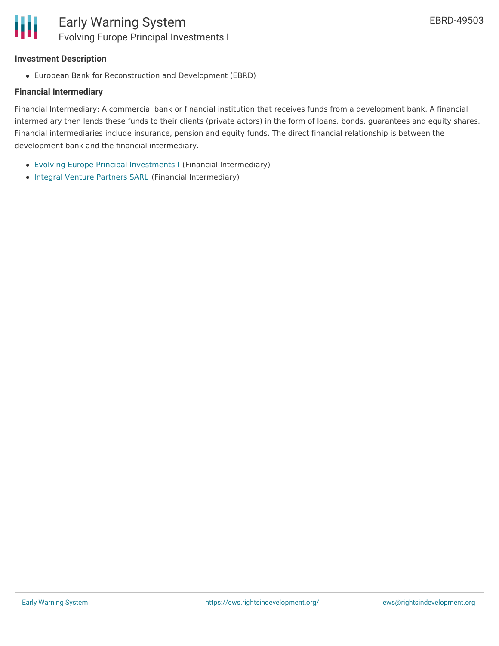#### **Investment Description**

Ш

European Bank for Reconstruction and Development (EBRD)

#### **Financial Intermediary**

Financial Intermediary: A commercial bank or financial institution that receives funds from a development bank. A financial intermediary then lends these funds to their clients (private actors) in the form of loans, bonds, guarantees and equity shares. Financial intermediaries include insurance, pension and equity funds. The direct financial relationship is between the development bank and the financial intermediary.

- Evolving Europe Principal [Investments](file:///actor/1463/) I (Financial Intermediary)
- Integral Venture [Partners](file:///actor/1464/) SARL (Financial Intermediary)